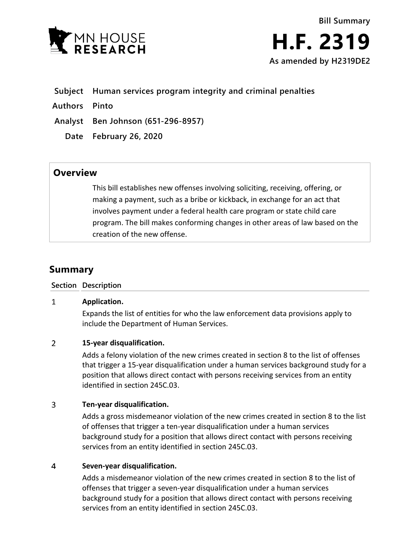

- **Subject Human services program integrity and criminal penalties**
- **Authors Pinto**

**Analyst Ben Johnson (651-296-8957)**

**Date February 26, 2020**

## **Overview**

This bill establishes new offenses involving soliciting, receiving, offering, or making a payment, such as a bribe or kickback, in exchange for an act that involves payment under a federal health care program or state child care program. The bill makes conforming changes in other areas of law based on the creation of the new offense.

# **Summary**

## **Section Description**

### $\mathbf{1}$ **Application.**

Expands the list of entities for who the law enforcement data provisions apply to include the Department of Human Services.

### $\overline{2}$ **15-year disqualification.**

Adds a felony violation of the new crimes created in section 8 to the list of offenses that trigger a 15-year disqualification under a human services background study for a position that allows direct contact with persons receiving services from an entity identified in section 245C.03.

### $\overline{3}$ **Ten-year disqualification.**

Adds a gross misdemeanor violation of the new crimes created in section 8 to the list of offenses that trigger a ten-year disqualification under a human services background study for a position that allows direct contact with persons receiving services from an entity identified in section 245C.03.

### $\overline{a}$ **Seven-year disqualification.**

Adds a misdemeanor violation of the new crimes created in section 8 to the list of offenses that trigger a seven-year disqualification under a human services background study for a position that allows direct contact with persons receiving services from an entity identified in section 245C.03.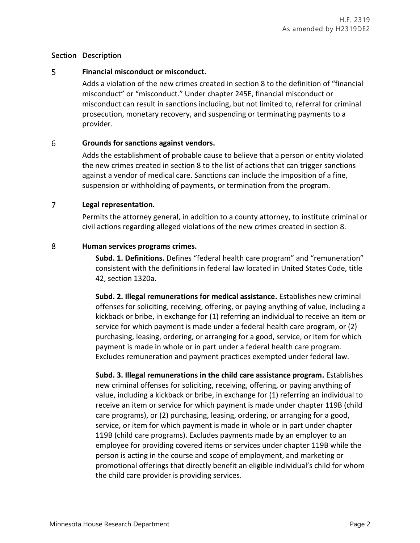## **Section Description**

### 5 **Financial misconduct or misconduct.**

Adds a violation of the new crimes created in section 8 to the definition of "financial misconduct" or "misconduct." Under chapter 245E, financial misconduct or misconduct can result in sanctions including, but not limited to, referral for criminal prosecution, monetary recovery, and suspending or terminating payments to a provider.

### 6 **Grounds for sanctions against vendors.**

Adds the establishment of probable cause to believe that a person or entity violated the new crimes created in section 8 to the list of actions that can trigger sanctions against a vendor of medical care. Sanctions can include the imposition of a fine, suspension or withholding of payments, or termination from the program.

### $\overline{7}$ **Legal representation.**

Permits the attorney general, in addition to a county attorney, to institute criminal or civil actions regarding alleged violations of the new crimes created in section 8.

### 8 **Human services programs crimes.**

**Subd. 1. Definitions.** Defines "federal health care program" and "remuneration" consistent with the definitions in federal law located in United States Code, title 42, section 1320a.

**Subd. 2. Illegal remunerations for medical assistance.** Establishes new criminal offenses for soliciting, receiving, offering, or paying anything of value, including a kickback or bribe, in exchange for (1) referring an individual to receive an item or service for which payment is made under a federal health care program, or (2) purchasing, leasing, ordering, or arranging for a good, service, or item for which payment is made in whole or in part under a federal health care program. Excludes remuneration and payment practices exempted under federal law.

**Subd. 3. Illegal remunerations in the child care assistance program.** Establishes new criminal offenses for soliciting, receiving, offering, or paying anything of value, including a kickback or bribe, in exchange for (1) referring an individual to receive an item or service for which payment is made under chapter 119B (child care programs), or (2) purchasing, leasing, ordering, or arranging for a good, service, or item for which payment is made in whole or in part under chapter 119B (child care programs). Excludes payments made by an employer to an employee for providing covered items or services under chapter 119B while the person is acting in the course and scope of employment, and marketing or promotional offerings that directly benefit an eligible individual's child for whom the child care provider is providing services.